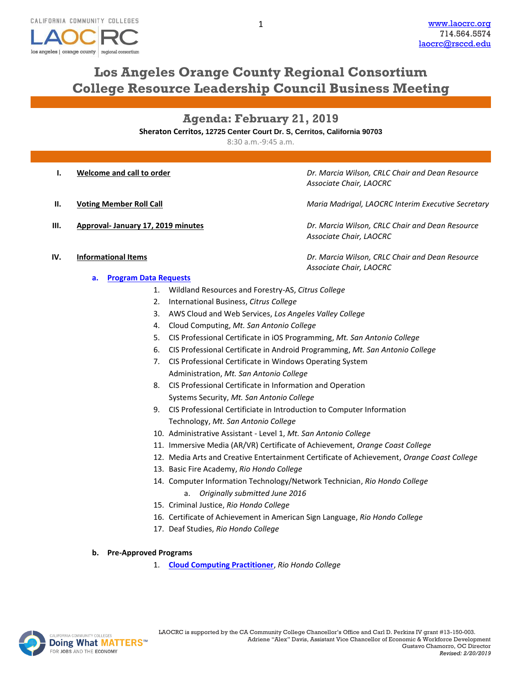

## **Los Angeles Orange County Regional Consortium College Resource Leadership Council Business Meeting**

**Agenda: February 21, 2019**

**Sheraton Cerritos, 12725 Center Court Dr. S, Cerritos, California 90703**

8:30 a.m.-9:45 a.m.

- 
- 
- 

**I. Welcome and call to order** *Dr. Marcia Wilson, CRLC Chair and Dean Resource Associate Chair, LAOCRC*

**II. Voting Member Roll Call** *Maria Madrigal, LAOCRC Interim Executive Secretary*

**III. Approval- January 17, 2019 minutes** *Dr. Marcia Wilson, CRLC Chair and Dean Resource Associate Chair, LAOCRC*

**IV. Informational Items** *Dr. Marcia Wilson, CRLC Chair and Dean Resource Associate Chair, LAOCRC*

- **a. [Program Data Requests](http://www.laocrc.org/educators/program-approval/program-intents)**
	- 1. Wildland Resources and Forestry-AS, *Citrus College*
	- 2. International Business, *Citrus College*
	- 3. AWS Cloud and Web Services, *Los Angeles Valley College*
	- 4. Cloud Computing, *Mt. San Antonio College*
	- 5. CIS Professional Certificate in iOS Programming, *Mt. San Antonio College*
	- 6. CIS Professional Certificate in Android Programming, *Mt. San Antonio College*
	- 7. CIS Professional Certificate in Windows Operating System

Administration, *Mt. San Antonio College*

- 8. CIS Professional Certificate in Information and Operation Systems Security, *Mt. San Antonio College*
- 9. CIS Professional Certificiate in Introduction to Computer Information Technology, *Mt. San Antonio College*
- 10. Administrative Assistant Level 1, *Mt. San Antonio College*
- 11. Immersive Media (AR/VR) Certificate of Achievement, *Orange Coast College*
- 12. Media Arts and Creative Entertainment Certificate of Achievement, *Orange Coast College*
- 13. Basic Fire Academy, *Rio Hondo College*
- 14. Computer Information Technology/Network Technician, *Rio Hondo College*
	- a. *Originally submitted June 2016*
- 15. Criminal Justice, *Rio Hondo College*
- 16. Certificate of Achievement in American Sign Language, *Rio Hondo College*
- 17. Deaf Studies, *Rio Hondo College*
- **b. Pre-Approved Programs**
	- 1. **[Cloud Computing Practitioner](https://www.regionalcte.org/browse/4BB74)**, *Rio Hondo College*

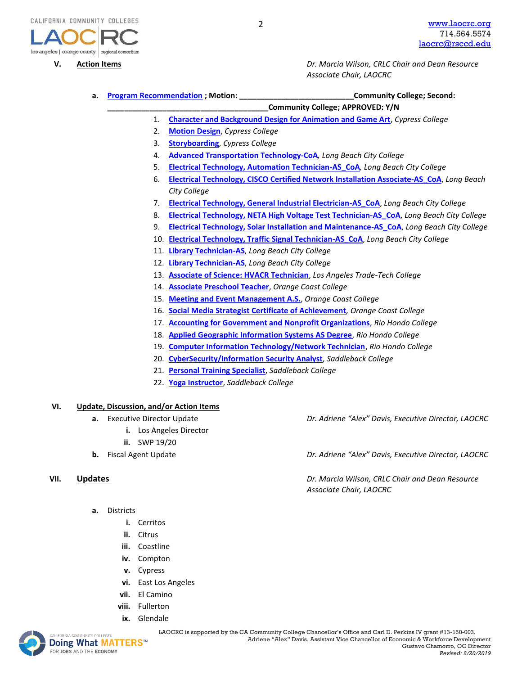

**V. Action Items** *Dr. Marcia Wilson, CRLC Chair and Dean Resource Associate Chair, LAOCRC*

**a. [Program Recommendation](https://www.regionalcte.org/browse?region=4&status=4&search=&submit=) ; Motion: \_\_\_\_\_\_\_\_\_\_\_\_\_\_\_\_\_\_\_\_\_\_\_\_\_\_\_Community College; Second: \_\_\_\_\_\_\_\_\_\_\_\_\_\_\_\_\_\_\_\_\_\_\_\_\_\_\_\_\_\_\_\_\_\_\_\_\_\_Community College; APPROVED: Y/N** 1. **[Character and Background Design for Animation and Game Art](https://www.regionalcte.org/browse/4nYDZ)**, *Cypress College* 2. **[Motion Design](https://www.regionalcte.org/browse/4pOjZ)**, *Cypress College* 3. **[Storyboarding](https://www.regionalcte.org/browse/3JR23)**, *Cypress College* 4. **[Advanced Transportation Technology-CoA](https://www.regionalcte.org/browse/Zykz3)***, Long Beach City College* 5. **[Electrical Technology, Automation Technician-AS\\_CoA](https://www.regionalcte.org/browse/3OzV4)***, Long Beach City College*  6. **[Electrical Technology, CISCO Certified Network Installation Associate-AS\\_CoA](https://www.regionalcte.org/browse/38BnZ)**, *Long Beach City College*  7. **[Electrical Technology, General Industrial Electrician-AS\\_CoA](https://www.regionalcte.org/browse/4PzjK)**, *Long Beach City College*  8. **[Electrical Technology, NETA High Voltage Test Technician-AS\\_CoA](https://www.regionalcte.org/browse/KonD3)**, *Long Beach City College*  9. **[Electrical Technology, Solar Installation and Maintenance-AS\\_CoA](https://www.regionalcte.org/browse/3Wjb4)**, *Long Beach City College*  10. **[Electrical Technology, Traffic Signal Technician-AS\\_CoA](https://www.regionalcte.org/browse/4Ez13)**, *Long Beach City College*  11. **[Library Technician-AS](https://www.regionalcte.org/browse/40OJZ)**, *Long Beach City College* 12. **[Library Technician-AS](https://www.regionalcte.org/browse/40OJZ)**, *Long Beach City College* 13. **[Associate of Science: HVACR Technician](https://www.regionalcte.org/browse/4PP64)**, *Los Angeles Trade-Tech College* 14. **[Associate Preschool Teacher](https://www.regionalcte.org/browse/Z9zP4)**, *Orange Coast College* 15. **[Meeting and Event Management A.S.](https://www.regionalcte.org/browse/3XpV3)**, *Orange Coast College* 16. **[Social Media Strategist Certificate of Achievement](https://www.regionalcte.org/browse/3GexZ)***, Orange Coast College* 17. **[Accounting for Government and Nonprofit Organizations](https://www.regionalcte.org/browse/KABwZ)**, *Rio Hondo College* 18. **[Applied Geographic Information Systems AS Degree](https://www.regionalcte.org/browse/ZY9dZ)**, *Rio Hondo College* 19. **[Computer Information Technology/Network Technician](https://www.regionalcte.org/browse/4PPj4)**, *Rio Hondo College* 20. **[CyberSecurity/Information Security Analyst](https://www.regionalcte.org/browse/KkzR3)**, *Saddleback College*  21. **[Personal Training Specialist](https://www.regionalcte.org/browse/KlRE4)**, *Saddleback College* 22. **[Yoga Instructor](https://www.regionalcte.org/browse/3W9bZ)**, *Saddleback College*

## **VI. Update, Discussion, and/or Action Items**

- **a.** Executive Director Update *Dr. Adriene "Alex" Davis, Executive Director, LAOCRC*
	- **i.** Los Angeles Director
		- **ii.** SWP 19/20
- 

- **a.** Districts
	- **i.** Cerritos
	- **ii.** Citrus
	- **iii.** Coastline
	- **iv.** Compton
	- **v.** Cypress
	- **vi.** East Los Angeles
	- **vii.** El Camino
	- **viii.** Fullerton
	- **ix.** Glendale



MACOMMUNITY COLLEGES **LAOCRC** is supported by the CA Community College Chancellor's Office and Carl D. Perkins IV grant #13-150-003. Adriene "Alex" Davis, Assistant Vice Chancellor of Economic & Workforce Development Gustavo Chamorro, OC Director *Revised: 2/20/2019*

**b.** Fiscal Agent Update *Dr. Adriene "Alex" Davis, Executive Director, LAOCRC*

**VII. Updates** *Dr. Marcia Wilson, CRLC Chair and Dean Resource Associate Chair, LAOCRC*